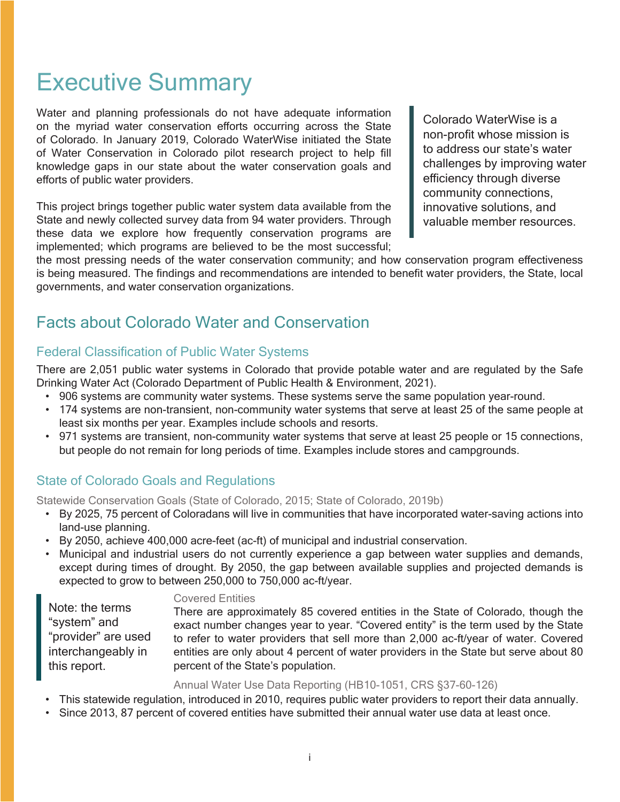# Executive Summary

Water and planning professionals do not have adequate information on the myriad water conservation efforts occurring across the State of Colorado. In January 2019, Colorado WaterWise initiated the State of Water Conservation in Colorado pilot research project to help fill knowledge gaps in our state about the water conservation goals and efforts of public water providers.

This project brings together public water system data available from the State and newly collected survey data from 94 water providers. Through these data we explore how frequently conservation programs are implemented; which programs are believed to be the most successful; Colorado WaterWise is a non-profit whose mission is to address our state's water challenges by improving water efficiency through diverse community connections, innovative solutions, and valuable member resources.

the most pressing needs of the water conservation community; and how conservation program effectiveness is being measured. The findings and recommendations are intended to benefit water providers, the State, local governments, and water conservation organizations.

# Facts about Colorado Water and Conservation

#### Federal Classification of Public Water Systems

There are 2,051 public water systems in Colorado that provide potable water and are regulated by the Safe Drinking Water Act (Colorado Department of Public Health & Environment, 2021).

- 906 systems are community water systems. These systems serve the same population year-round.
- 174 systems are non-transient, non-community water systems that serve at least 25 of the same people at least six months per year. Examples include schools and resorts.
- 971 systems are transient, non-community water systems that serve at least 25 people or 15 connections, but people do not remain for long periods of time. Examples include stores and campgrounds.

## State of Colorado Goals and Regulations

Statewide Conservation Goals (State of Colorado, 2015; State of Colorado, 2019b)

- By 2025, 75 percent of Coloradans will live in communities that have incorporated water-saving actions into land-use planning.
- By 2050, achieve 400,000 acre-feet (ac-ft) of municipal and industrial conservation.
- Municipal and industrial users do not currently experience a gap between water supplies and demands, except during times of drought. By 2050, the gap between available supplies and projected demands is expected to grow to between 250,000 to 750,000 ac-ft/year.

Note: the terms "system" and "provider" are used interchangeably in this report.

#### Covered Entities

There are approximately 85 covered entities in the State of Colorado, though the exact number changes year to year. "Covered entity" is the term used by the State to refer to water providers that sell more than 2,000 ac-ft/year of water. Covered entities are only about 4 percent of water providers in the State but serve about 80 percent of the State's population.

Annual Water Use Data Reporting (HB10-1051, CRS §37-60-126)

- This statewide regulation, introduced in 2010, requires public water providers to report their data annually.
- Since 2013, 87 percent of covered entities have submitted their annual water use data at least once.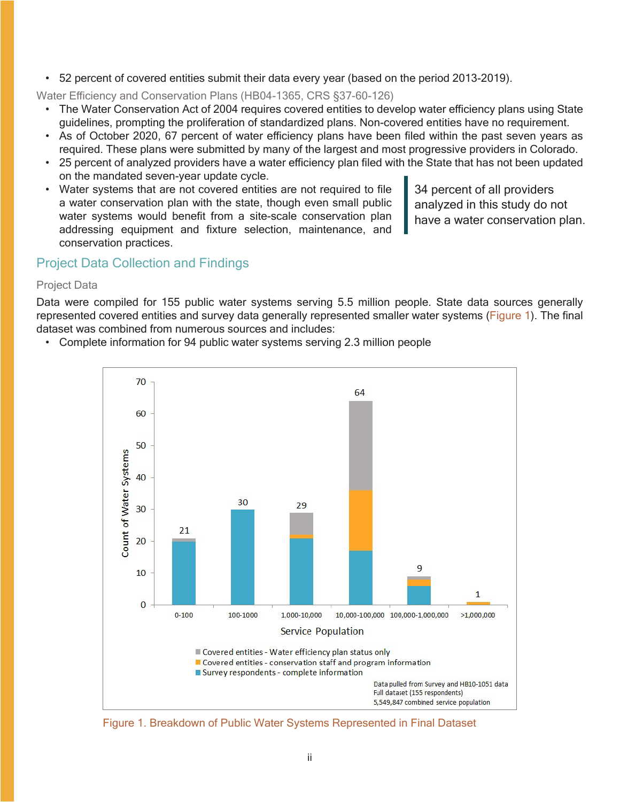• 52 percent of covered entities submit their data every year (based on the period 2013-2019).

Water Efficiency and Conservation Plans (HB04-1365, CRS §37-60-126)

- The Water Conservation Act of 2004 requires covered entities to develop water efficiency plans using State guidelines, prompting the proliferation of standardized plans. Non-covered entities have no requirement.
- As of October 2020, 67 percent of water efficiency plans have been filed within the past seven years as required. These plans were submitted by many of the largest and most progressive providers in Colorado.
- 25 percent of analyzed providers have a water efficiency plan filed with the State that has not been updated on the mandated seven-year update cycle.
- Water systems that are not covered entities are not required to file a water conservation plan with the state, though even small public water systems would benefit from a site-scale conservation plan addressing equipment and fixture selection, maintenance, and conservation practices.

34 percent of all providers analyzed in this study do not have a water conservation plan.

### Project Data Collection and Findings

#### Project Data

Data were compiled for 155 public water systems serving 5.5 million people. State data sources generally represented covered entities and survey data generally represented smaller water systems (Figure 1). The final dataset was combined from numerous sources and includes:

• Complete information for 94 public water systems serving 2.3 million people



Figure 1. Breakdown of Public Water Systems Represented in Final Dataset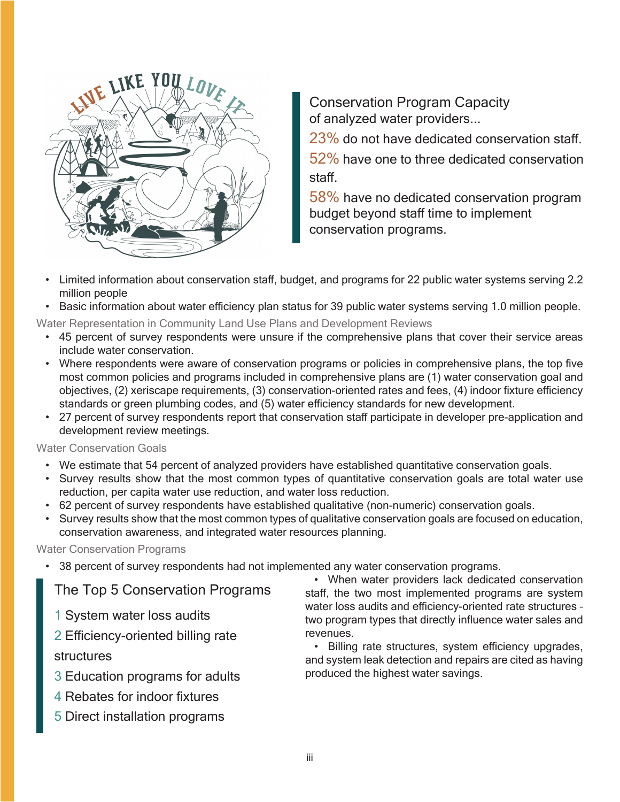

Conservation Program Capacity of analyzed water providers...

23% do not have dedicated conservation staff. 52% have one to three dedicated conservation staff.

58% have no dedicated conservation program budget beyond staff time to implement conservation programs.

- Limited information about conservation staff, budget, and programs for 22 public water systems serving 2.2 million people
- Basic information about water efficiency plan status for 39 public water systems serving 1.0 million people.

Water Representation in Community Land Use Plans and Development Reviews

- 45 percent of survey respondents were unsure if the comprehensive plans that cover their service areas include water conservation.
- Where respondents were aware of conservation programs or policies in comprehensive plans, the top five most common policies and programs included in comprehensive plans are (1) water conservation goal and objectives, (2) xeriscape requirements, (3) conservation-oriented rates and fees, (4) indoor fixture efficiency standards or green plumbing codes, and (5) water efficiency standards for new development.
- 27 percent of survey respondents report that conservation staff participate in developer pre-application and development review meetings.

Water Conservation Goals

- We estimate that 54 percent of analyzed providers have established quantitative conservation goals.
- Survey results show that the most common types of quantitative conservation goals are total water use reduction, per capita water use reduction, and water loss reduction.
- 62 percent of survey respondents have established qualitative (non-numeric) conservation goals.
- Survey results show that the most common types of qualitative conservation goals are focused on education, conservation awareness, and integrated water resources planning.

#### Water Conservation Programs

• 38 percent of survey respondents had not implemented any water conservation programs.

The Top 5 Conservation Programs

- 1 System water loss audits
- 2 Efficiency-oriented billing rate

#### structures

- 3 Education programs for adults
- 4 Rebates for indoor fixtures
- 5 Direct installation programs

• When water providers lack dedicated conservation staff, the two most implemented programs are system water loss audits and efficiency-oriented rate structures – two program types that directly influence water sales and revenues.

• Billing rate structures, system efficiency upgrades, and system leak detection and repairs are cited as having produced the highest water savings.